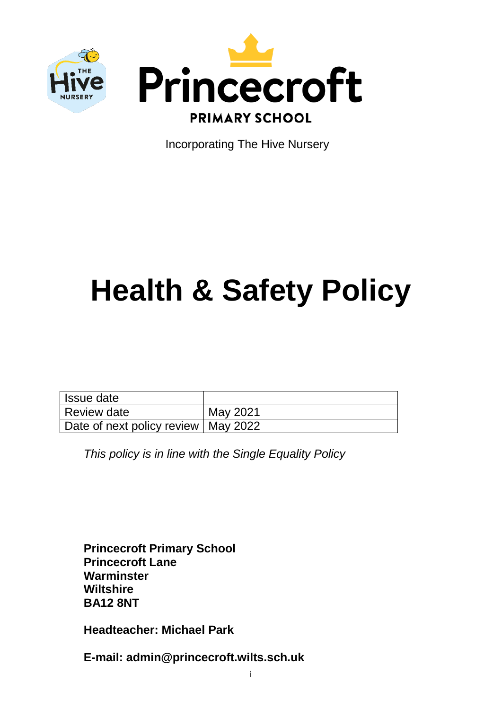



Incorporating The Hive Nursery

# **Health & Safety Policy**

| Issue date                            |          |
|---------------------------------------|----------|
| Review date                           | May 2021 |
| Date of next policy review   May 2022 |          |

*This policy is in line with the Single Equality Policy*

**Princecroft Primary School Princecroft Lane Warminster Wiltshire BA12 8NT**

**Headteacher: Michael Park**

**E-mail: admin@princecroft.wilts.sch.uk**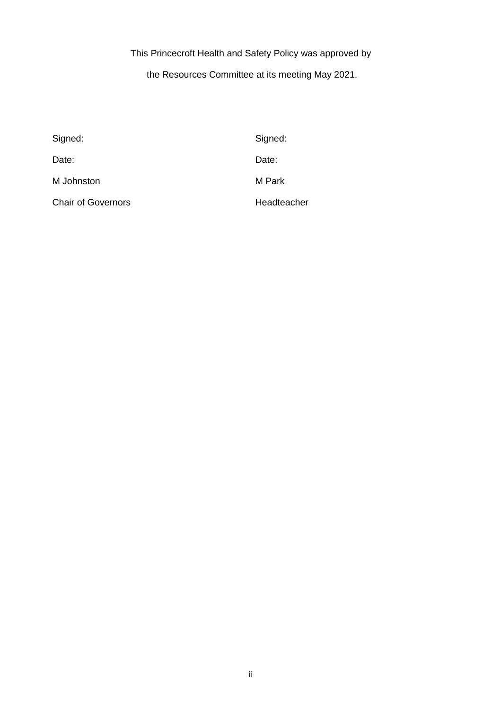This Princecroft Health and Safety Policy was approved by

the Resources Committee at its meeting May 2021.

| Signed:                   | Signed:     |
|---------------------------|-------------|
| Date:                     | Date:       |
| M Johnston                | M Park      |
| <b>Chair of Governors</b> | Headteacher |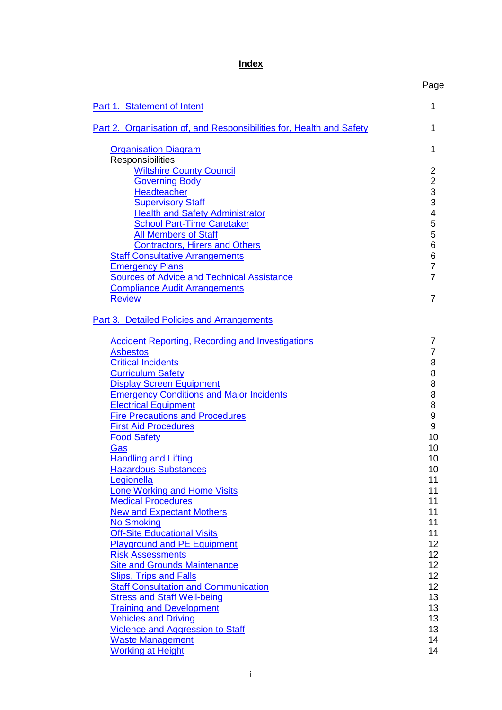## **Index**

<span id="page-2-0"></span>

|                                                                      | Page                                       |
|----------------------------------------------------------------------|--------------------------------------------|
| Part 1. Statement of Intent                                          | 1                                          |
| Part 2. Organisation of, and Responsibilities for, Health and Safety | 1                                          |
| <b>Organisation Diagram</b>                                          | 1                                          |
| Responsibilities:                                                    |                                            |
| <b>Wiltshire County Council</b><br><b>Governing Body</b>             | $\overline{c}$                             |
| <b>Headteacher</b>                                                   | $\begin{array}{c} 2 \\ 3 \\ 3 \end{array}$ |
| <b>Supervisory Staff</b>                                             |                                            |
| <b>Health and Safety Administrator</b>                               | 4                                          |
| <b>School Part-Time Caretaker</b>                                    | 5                                          |
| <b>All Members of Staff</b>                                          | 5                                          |
| <b>Contractors, Hirers and Others</b>                                | 6                                          |
| <b>Staff Consultative Arrangements</b>                               | 6                                          |
| <b>Emergency Plans</b>                                               | $\overline{7}$                             |
| <b>Sources of Advice and Technical Assistance</b>                    | $\overline{7}$                             |
| <b>Compliance Audit Arrangements</b>                                 |                                            |
| <b>Review</b>                                                        | 7                                          |
| Part 3. Detailed Policies and Arrangements                           |                                            |
| <b>Accident Reporting, Recording and Investigations</b>              | 7                                          |
| <b>Asbestos</b>                                                      | 7                                          |
| <b>Critical Incidents</b>                                            | 8                                          |
| <b>Curriculum Safety</b>                                             | 8                                          |
| <b>Display Screen Equipment</b>                                      | 8                                          |
| <b>Emergency Conditions and Major Incidents</b>                      | 8                                          |
| <b>Electrical Equipment</b>                                          | 8                                          |
| <b>Fire Precautions and Procedures</b>                               | 9                                          |
| <b>First Aid Procedures</b>                                          | 9                                          |
| Food Safety                                                          | 10                                         |
| Gas                                                                  | 10                                         |
| <b>Handling and Lifting</b>                                          | 10                                         |
| <b>Hazardous Substances</b>                                          | 10                                         |
| Legionella                                                           | 11                                         |
| <b>Lone Working and Home Visits</b>                                  | 11                                         |
| <b>Medical Procedures</b>                                            | 11                                         |
| <b>New and Expectant Mothers</b>                                     | 11                                         |
| <b>No Smoking</b>                                                    | 11                                         |
| <b>Off-Site Educational Visits</b>                                   | 11                                         |
| <b>Playground and PE Equipment</b>                                   | 12                                         |
| <b>Risk Assessments</b>                                              | 12                                         |
| <b>Site and Grounds Maintenance</b>                                  | 12                                         |
| <b>Slips, Trips and Falls</b>                                        | 12                                         |
| <b>Staff Consultation and Communication</b>                          | 12 <sub>2</sub>                            |
| <b>Stress and Staff Well-being</b>                                   | 13                                         |
| <b>Training and Development</b>                                      | 13                                         |
| <b>Vehicles and Driving</b>                                          | 13                                         |
| <b>Violence and Aggression to Staff</b>                              | 13<br>14                                   |
| <b>Waste Management</b><br><b>Working at Height</b>                  | 14                                         |
|                                                                      |                                            |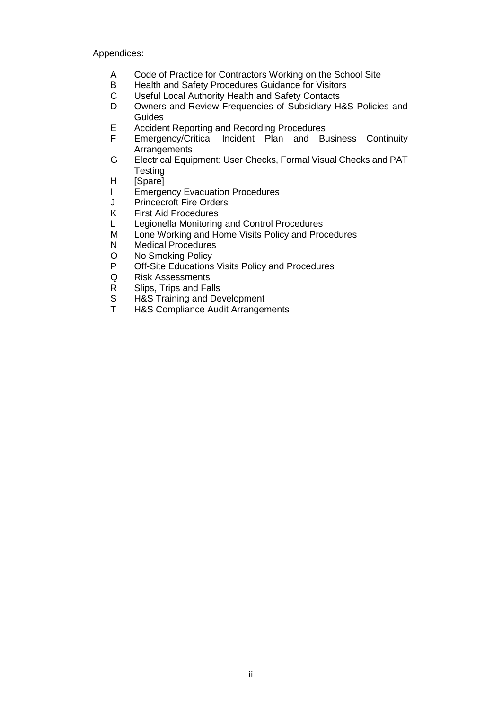Appendices:

- A Code of Practice for Contractors Working on the School Site
- B Health and Safety Procedures Guidance for Visitors
- C Useful Local Authority Health and Safety Contacts
- Owners and Review Frequencies of Subsidiary H&S Policies and Guides
- E Accident Reporting and Recording Procedures<br>F Emergency/Critical Incident Plan and Bu
- Emergency/Critical Incident Plan and Business Continuity Arrangements
- G Electrical Equipment: User Checks, Formal Visual Checks and PAT **Testing**
- H [Spare]
- I Emergency Evacuation Procedures
- J Princecroft Fire Orders<br>K First Aid Procedures
- **First Aid Procedures**
- L Legionella Monitoring and Control Procedures
- M Lone Working and Home Visits Policy and Procedures<br>N Medical Procedures
- **Medical Procedures**
- O No Smoking Policy<br>P Off-Site Educations
- Off-Site Educations Visits Policy and Procedures
- Q Risk Assessments
- R Slips, Trips and Falls
- S H&S Training and Development
- T H&S Compliance Audit Arrangements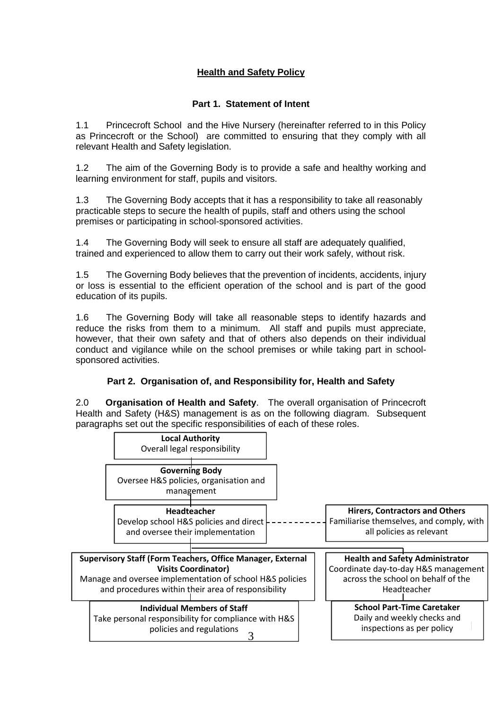## **Health and Safety Policy**

## **Part 1. Statement of Intent**

<span id="page-4-0"></span>1.1 Princecroft School and the Hive Nursery (hereinafter referred to in this Policy as Princecroft or the School) are committed to ensuring that they comply with all relevant Health and Safety legislation.

1.2 The aim of the Governing Body is to provide a safe and healthy working and learning environment for staff, pupils and visitors.

1.3 The Governing Body accepts that it has a responsibility to take all reasonably practicable steps to secure the health of pupils, staff and others using the school premises or participating in school-sponsored activities.

1.4 The Governing Body will seek to ensure all staff are adequately qualified, trained and experienced to allow them to carry out their work safely, without risk.

1.5 The Governing Body believes that the prevention of incidents, accidents, injury or loss is essential to the efficient operation of the school and is part of the good education of its pupils.

1.6 The Governing Body will take all reasonable steps to identify hazards and reduce the risks from them to a minimum. All staff and pupils must appreciate, however, that their own safety and that of others also depends on their individual conduct and vigilance while on the school premises or while taking part in schoolsponsored activities.

## **Part 2. Organisation of, and Responsibility for, Health and Safety**

<span id="page-4-1"></span>2.0 **Organisation of Health and Safety**. The overall organisation of Princecroft Health and Safety (H&S) management is as on the following diagram. Subsequent paragraphs set out the specific responsibilities of each of these roles.

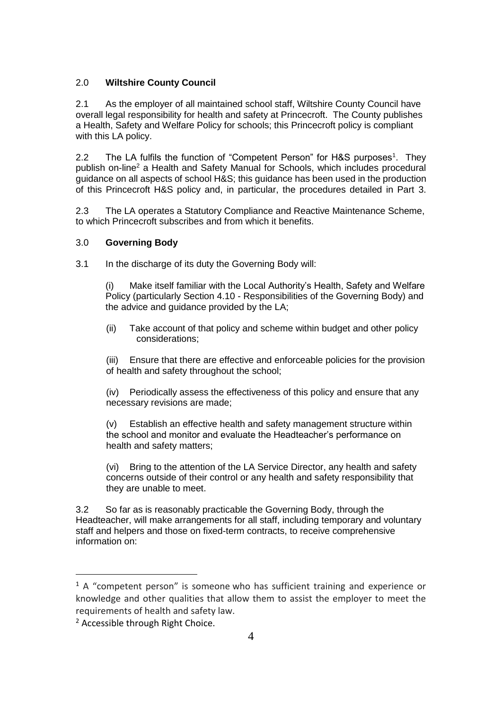## <span id="page-5-0"></span>2.0 **Wiltshire County Council**

2.1 As the employer of all maintained school staff, Wiltshire County Council have overall legal responsibility for health and safety at Princecroft. The County publishes a Health, Safety and Welfare Policy for schools; this Princecroft policy is compliant with this LA policy.

2.2 The LA fulfils the function of "Competent Person" for H&S purposes<sup>1</sup>. They publish on-line<sup>2</sup> a Health and Safety Manual for Schools, which includes procedural guidance on all aspects of school H&S; this guidance has been used in the production of this Princecroft H&S policy and, in particular, the procedures detailed in Part 3.

2.3 The LA operates a Statutory Compliance and Reactive Maintenance Scheme, to which Princecroft subscribes and from which it benefits.

#### <span id="page-5-1"></span>3.0 **Governing Body**

3.1 In the discharge of its duty the Governing Body will:

(i) Make itself familiar with the Local Authority's Health, Safety and Welfare Policy (particularly Section 4.10 - Responsibilities of the Governing Body) and the advice and guidance provided by the LA;

(ii) Take account of that policy and scheme within budget and other policy considerations;

(iii) Ensure that there are effective and enforceable policies for the provision of health and safety throughout the school;

(iv) Periodically assess the effectiveness of this policy and ensure that any necessary revisions are made;

(v) Establish an effective health and safety management structure within the school and monitor and evaluate the Headteacher's performance on health and safety matters;

(vi) Bring to the attention of the LA Service Director, any health and safety concerns outside of their control or any health and safety responsibility that they are unable to meet.

3.2 So far as is reasonably practicable the Governing Body, through the Headteacher, will make arrangements for all staff, including temporary and voluntary staff and helpers and those on fixed-term contracts, to receive comprehensive information on:

 $\overline{a}$ 

 $1$  A "competent person" is someone who has sufficient training and experience or knowledge and other qualities that allow them to assist the employer to meet the requirements of health and safety law.

<sup>2</sup> Accessible through Right Choice.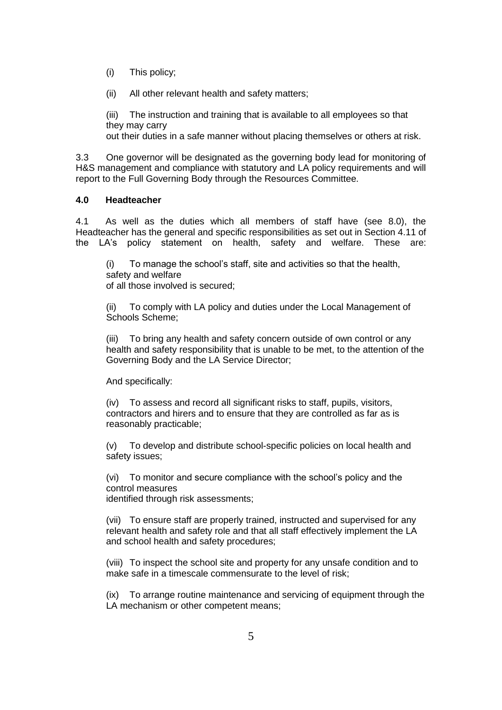- (i) This policy;
- (ii) All other relevant health and safety matters;

(iii) The instruction and training that is available to all employees so that they may carry out their duties in a safe manner without placing themselves or others at risk.

3.3 One governor will be designated as the governing body lead for monitoring of H&S management and compliance with statutory and LA policy requirements and will report to the Full Governing Body through the Resources Committee.

#### <span id="page-6-0"></span>**4.0 Headteacher**

4.1 As well as the duties which all members of staff have (see 8.0), the Headteacher has the general and specific responsibilities as set out in Section 4.11 of the LA's policy statement on health, safety and welfare. These are:

(i) To manage the school's staff, site and activities so that the health, safety and welfare of all those involved is secured;

(ii) To comply with LA policy and duties under the Local Management of Schools Scheme;

(iii) To bring any health and safety concern outside of own control or any health and safety responsibility that is unable to be met, to the attention of the Governing Body and the LA Service Director;

And specifically:

(iv) To assess and record all significant risks to staff, pupils, visitors, contractors and hirers and to ensure that they are controlled as far as is reasonably practicable;

(v) To develop and distribute school-specific policies on local health and safety issues;

(vi) To monitor and secure compliance with the school's policy and the control measures identified through risk assessments;

(vii) To ensure staff are properly trained, instructed and supervised for any relevant health and safety role and that all staff effectively implement the LA and school health and safety procedures;

(viii) To inspect the school site and property for any unsafe condition and to make safe in a timescale commensurate to the level of risk;

(ix) To arrange routine maintenance and servicing of equipment through the LA mechanism or other competent means: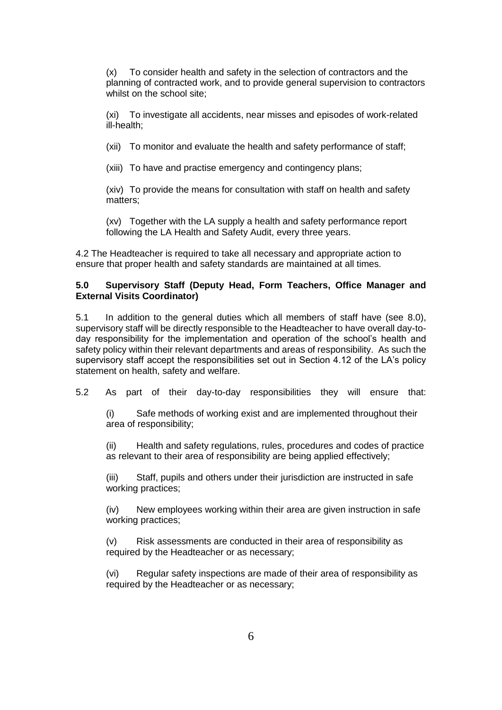(x) To consider health and safety in the selection of contractors and the planning of contracted work, and to provide general supervision to contractors whilst on the school site;

(xi) To investigate all accidents, near misses and episodes of work-related ill-health;

(xii) To monitor and evaluate the health and safety performance of staff;

(xiii) To have and practise emergency and contingency plans;

(xiv) To provide the means for consultation with staff on health and safety matters;

(xv) Together with the LA supply a health and safety performance report following the LA Health and Safety Audit, every three years.

4.2 The Headteacher is required to take all necessary and appropriate action to ensure that proper health and safety standards are maintained at all times.

#### <span id="page-7-0"></span>**5.0 Supervisory Staff (Deputy Head, Form Teachers, Office Manager and External Visits Coordinator)**

5.1 In addition to the general duties which all members of staff have (see 8.0), supervisory staff will be directly responsible to the Headteacher to have overall day-today responsibility for the implementation and operation of the school's health and safety policy within their relevant departments and areas of responsibility. As such the supervisory staff accept the responsibilities set out in Section 4.12 of the LA's policy statement on health, safety and welfare.

5.2 As part of their day-to-day responsibilities they will ensure that:

(i) Safe methods of working exist and are implemented throughout their area of responsibility;

(ii) Health and safety regulations, rules, procedures and codes of practice as relevant to their area of responsibility are being applied effectively;

(iii) Staff, pupils and others under their jurisdiction are instructed in safe working practices;

(iv) New employees working within their area are given instruction in safe working practices;

(v) Risk assessments are conducted in their area of responsibility as required by the Headteacher or as necessary;

(vi) Regular safety inspections are made of their area of responsibility as required by the Headteacher or as necessary;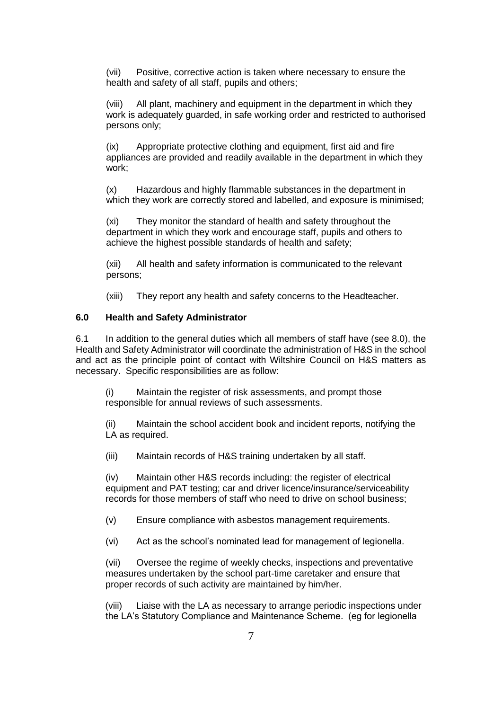(vii) Positive, corrective action is taken where necessary to ensure the health and safety of all staff, pupils and others;

(viii) All plant, machinery and equipment in the department in which they work is adequately guarded, in safe working order and restricted to authorised persons only;

(ix) Appropriate protective clothing and equipment, first aid and fire appliances are provided and readily available in the department in which they work;

(x) Hazardous and highly flammable substances in the department in which they work are correctly stored and labelled, and exposure is minimised;

(xi) They monitor the standard of health and safety throughout the department in which they work and encourage staff, pupils and others to achieve the highest possible standards of health and safety;

(xii) All health and safety information is communicated to the relevant persons;

<span id="page-8-0"></span>(xiii) They report any health and safety concerns to the Headteacher.

#### **6.0 Health and Safety Administrator**

6.1 In addition to the general duties which all members of staff have (see 8.0), the Health and Safety Administrator will coordinate the administration of H&S in the school and act as the principle point of contact with Wiltshire Council on H&S matters as necessary. Specific responsibilities are as follow:

(i) Maintain the register of risk assessments, and prompt those responsible for annual reviews of such assessments.

(ii) Maintain the school accident book and incident reports, notifying the LA as required.

(iii) Maintain records of H&S training undertaken by all staff.

(iv) Maintain other H&S records including: the register of electrical equipment and PAT testing; car and driver licence/insurance/serviceability records for those members of staff who need to drive on school business;

(v) Ensure compliance with asbestos management requirements.

(vi) Act as the school's nominated lead for management of legionella.

(vii) Oversee the regime of weekly checks, inspections and preventative measures undertaken by the school part-time caretaker and ensure that proper records of such activity are maintained by him/her.

(viii) Liaise with the LA as necessary to arrange periodic inspections under the LA's Statutory Compliance and Maintenance Scheme. (eg for legionella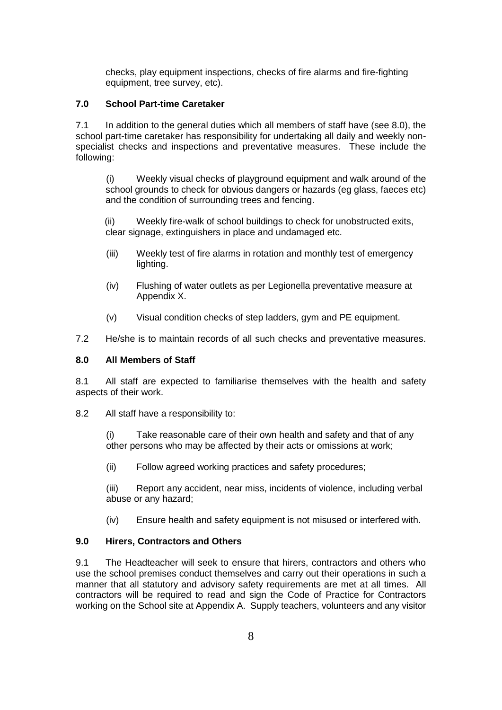checks, play equipment inspections, checks of fire alarms and fire-fighting equipment, tree survey, etc).

#### <span id="page-9-0"></span>**7.0 School Part-time Caretaker**

7.1 In addition to the general duties which all members of staff have (see 8.0), the school part-time caretaker has responsibility for undertaking all daily and weekly nonspecialist checks and inspections and preventative measures. These include the following:

(i) Weekly visual checks of playground equipment and walk around of the school grounds to check for obvious dangers or hazards (eg glass, faeces etc) and the condition of surrounding trees and fencing.

(ii) Weekly fire-walk of school buildings to check for unobstructed exits, clear signage, extinguishers in place and undamaged etc.

- (iii) Weekly test of fire alarms in rotation and monthly test of emergency lighting.
- (iv) Flushing of water outlets as per Legionella preventative measure at Appendix X.
- (v) Visual condition checks of step ladders, gym and PE equipment.
- 7.2 He/she is to maintain records of all such checks and preventative measures.

#### <span id="page-9-1"></span>**8.0 All Members of Staff**

8.1 All staff are expected to familiarise themselves with the health and safety aspects of their work.

8.2 All staff have a responsibility to:

(i) Take reasonable care of their own health and safety and that of any other persons who may be affected by their acts or omissions at work;

(ii) Follow agreed working practices and safety procedures;

(iii) Report any accident, near miss, incidents of violence, including verbal abuse or any hazard;

<span id="page-9-2"></span>(iv) Ensure health and safety equipment is not misused or interfered with.

## **9.0 Hirers, Contractors and Others**

9.1 The Headteacher will seek to ensure that hirers, contractors and others who use the school premises conduct themselves and carry out their operations in such a manner that all statutory and advisory safety requirements are met at all times. All contractors will be required to read and sign the Code of Practice for Contractors working on the School site at Appendix A. Supply teachers, volunteers and any visitor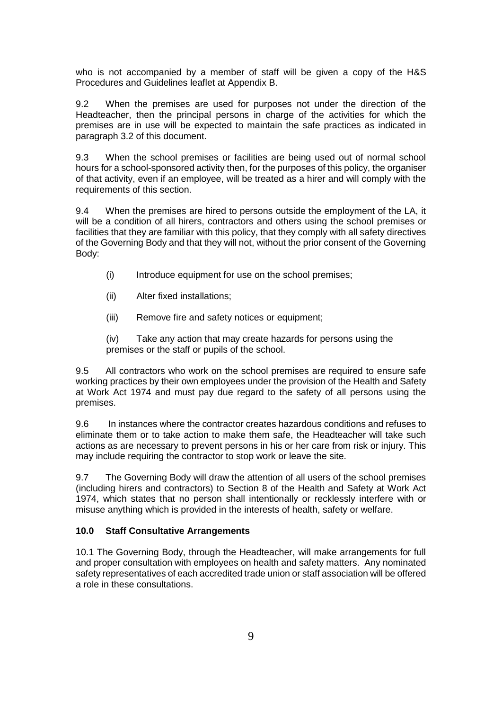who is not accompanied by a member of staff will be given a copy of the H&S Procedures and Guidelines leaflet at Appendix B.

9.2 When the premises are used for purposes not under the direction of the Headteacher, then the principal persons in charge of the activities for which the premises are in use will be expected to maintain the safe practices as indicated in paragraph 3.2 of this document.

9.3 When the school premises or facilities are being used out of normal school hours for a school-sponsored activity then, for the purposes of this policy, the organiser of that activity, even if an employee, will be treated as a hirer and will comply with the requirements of this section.

9.4 When the premises are hired to persons outside the employment of the LA, it will be a condition of all hirers, contractors and others using the school premises or facilities that they are familiar with this policy, that they comply with all safety directives of the Governing Body and that they will not, without the prior consent of the Governing Body:

- (i) Introduce equipment for use on the school premises;
- (ii) Alter fixed installations;
- (iii) Remove fire and safety notices or equipment;

(iv) Take any action that may create hazards for persons using the premises or the staff or pupils of the school.

9.5 All contractors who work on the school premises are required to ensure safe working practices by their own employees under the provision of the Health and Safety at Work Act 1974 and must pay due regard to the safety of all persons using the premises.

9.6 In instances where the contractor creates hazardous conditions and refuses to eliminate them or to take action to make them safe, the Headteacher will take such actions as are necessary to prevent persons in his or her care from risk or injury. This may include requiring the contractor to stop work or leave the site.

9.7 The Governing Body will draw the attention of all users of the school premises (including hirers and contractors) to Section 8 of the Health and Safety at Work Act 1974, which states that no person shall intentionally or recklessly interfere with or misuse anything which is provided in the interests of health, safety or welfare.

#### <span id="page-10-0"></span>**10.0 Staff Consultative Arrangements**

10.1 The Governing Body, through the Headteacher, will make arrangements for full and proper consultation with employees on health and safety matters. Any nominated safety representatives of each accredited trade union or staff association will be offered a role in these consultations.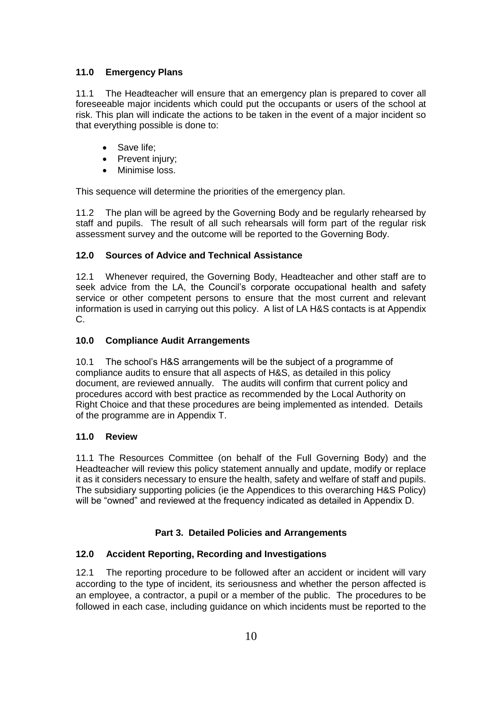## <span id="page-11-0"></span>**11.0 Emergency Plans**

11.1 The Headteacher will ensure that an emergency plan is prepared to cover all foreseeable major incidents which could put the occupants or users of the school at risk. This plan will indicate the actions to be taken in the event of a major incident so that everything possible is done to:

- Save life;
- Prevent injury;
- Minimise loss.

This sequence will determine the priorities of the emergency plan.

11.2 The plan will be agreed by the Governing Body and be regularly rehearsed by staff and pupils. The result of all such rehearsals will form part of the regular risk assessment survey and the outcome will be reported to the Governing Body.

## <span id="page-11-1"></span>**12.0 Sources of Advice and Technical Assistance**

12.1 Whenever required, the Governing Body, Headteacher and other staff are to seek advice from the LA, the Council's corporate occupational health and safety service or other competent persons to ensure that the most current and relevant information is used in carrying out this policy. A list of LA H&S contacts is at Appendix C.

## <span id="page-11-2"></span>**10.0 Compliance Audit Arrangements**

10.1 The school's H&S arrangements will be the subject of a programme of compliance audits to ensure that all aspects of H&S, as detailed in this policy document, are reviewed annually. The audits will confirm that current policy and procedures accord with best practice as recommended by the Local Authority on Right Choice and that these procedures are being implemented as intended. Details of the programme are in Appendix T.

## **11.0 Review**

11.1 The Resources Committee (on behalf of the Full Governing Body) and the Headteacher will review this policy statement annually and update, modify or replace it as it considers necessary to ensure the health, safety and welfare of staff and pupils. The subsidiary supporting policies (ie the Appendices to this overarching H&S Policy) will be "owned" and reviewed at the frequency indicated as detailed in Appendix D.

## **Part 3. Detailed Policies and Arrangements**

## <span id="page-11-4"></span><span id="page-11-3"></span>**12.0 Accident Reporting, Recording and Investigations**

12.1 The reporting procedure to be followed after an accident or incident will vary according to the type of incident, its seriousness and whether the person affected is an employee, a contractor, a pupil or a member of the public. The procedures to be followed in each case, including guidance on which incidents must be reported to the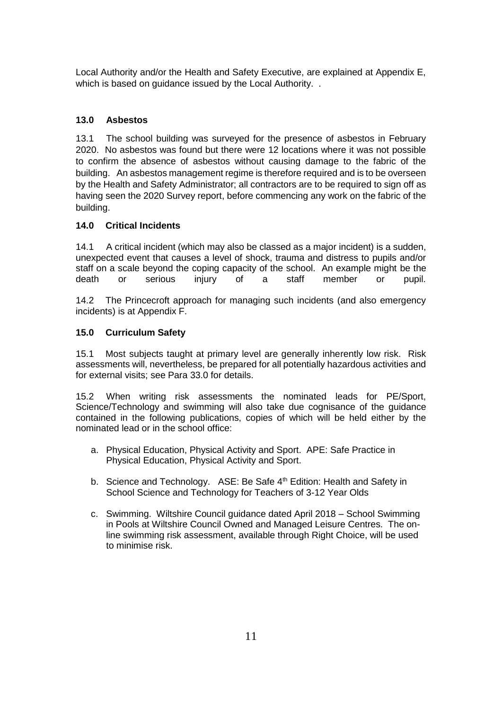Local Authority and/or the Health and Safety Executive, are explained at Appendix E, which is based on quidance issued by the Local Authority. .

## <span id="page-12-0"></span>**13.0 Asbestos**

13.1 The school building was surveyed for the presence of asbestos in February 2020. No asbestos was found but there were 12 locations where it was not possible to confirm the absence of asbestos without causing damage to the fabric of the building. An asbestos management regime is therefore required and is to be overseen by the Health and Safety Administrator; all contractors are to be required to sign off as having seen the 2020 Survey report, before commencing any work on the fabric of the building.

## <span id="page-12-2"></span><span id="page-12-1"></span>**14.0 Critical Incidents**

14.1 A critical incident (which may also be classed as a major incident) is a sudden, unexpected event that causes a level of shock, trauma and distress to pupils and/or staff on a scale beyond the coping capacity of the school. An example might be the death or serious injury of a staff member or pupil.

14.2 The Princecroft approach for managing such incidents (and also emergency incidents) is at Appendix F.

## **15.0 Curriculum Safety**

15.1 Most subjects taught at primary level are generally inherently low risk. Risk assessments will, nevertheless, be prepared for all potentially hazardous activities and for external visits; see Para 33.0 for details.

15.2 When writing risk assessments the nominated leads for PE/Sport, Science/Technology and swimming will also take due cognisance of the guidance contained in the following publications, copies of which will be held either by the nominated lead or in the school office:

- a. Physical Education, Physical Activity and Sport. APE: Safe Practice in Physical Education, Physical Activity and Sport.
- b. Science and Technology. ASE: Be Safe 4<sup>th</sup> Edition: Health and Safety in School Science and Technology for Teachers of 3-12 Year Olds
- <span id="page-12-3"></span>c. Swimming. Wiltshire Council guidance dated April 2018 – School Swimming in Pools at Wiltshire Council Owned and Managed Leisure Centres. The online swimming risk assessment, available through Right Choice, will be used to minimise risk.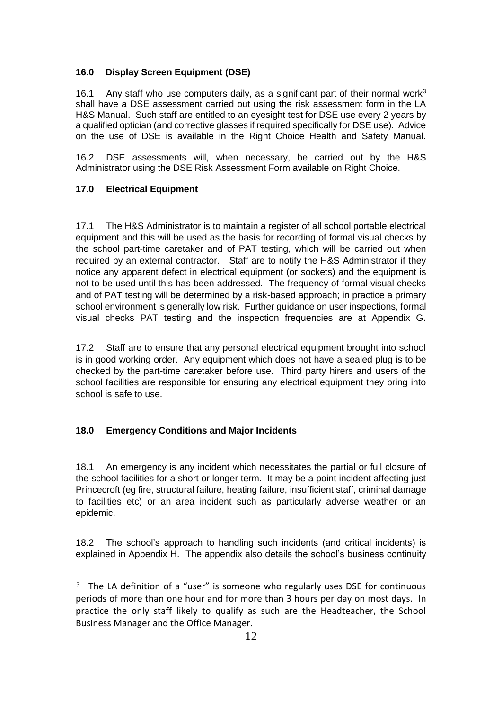## **16.0 Display Screen Equipment (DSE)**

16.1 Any staff who use computers daily, as a significant part of their normal work $3$ shall have a DSE assessment carried out using the risk assessment form in the LA H&S Manual. Such staff are entitled to an eyesight test for DSE use every 2 years by a qualified optician (and corrective glasses if required specifically for DSE use). Advice on the use of DSE is available in the Right Choice Health and Safety Manual.

16.2 DSE assessments will, when necessary, be carried out by the H&S Administrator using the DSE Risk Assessment Form available on Right Choice.

## <span id="page-13-1"></span>**17.0 Electrical Equipment**

 $\overline{a}$ 

17.1 The H&S Administrator is to maintain a register of all school portable electrical equipment and this will be used as the basis for recording of formal visual checks by the school part-time caretaker and of PAT testing, which will be carried out when required by an external contractor. Staff are to notify the H&S Administrator if they notice any apparent defect in electrical equipment (or sockets) and the equipment is not to be used until this has been addressed. The frequency of formal visual checks and of PAT testing will be determined by a risk-based approach; in practice a primary school environment is generally low risk. Further guidance on user inspections, formal visual checks PAT testing and the inspection frequencies are at Appendix G.

17.2 Staff are to ensure that any personal electrical equipment brought into school is in good working order. Any equipment which does not have a sealed plug is to be checked by the part-time caretaker before use. Third party hirers and users of the school facilities are responsible for ensuring any electrical equipment they bring into school is safe to use.

## <span id="page-13-2"></span><span id="page-13-0"></span>**18.0 Emergency Conditions and Major Incidents**

18.1 An emergency is any incident which necessitates the partial or full closure of the school facilities for a short or longer term. It may be a point incident affecting just Princecroft (eg fire, structural failure, heating failure, insufficient staff, criminal damage to facilities etc) or an area incident such as particularly adverse weather or an epidemic.

18.2 The school's approach to handling such incidents (and critical incidents) is explained in Appendix H. The appendix also details the school's business continuity

 $3$  The LA definition of a "user" is someone who regularly uses DSE for continuous periods of more than one hour and for more than 3 hours per day on most days. In practice the only staff likely to qualify as such are the Headteacher, the School Business Manager and the Office Manager.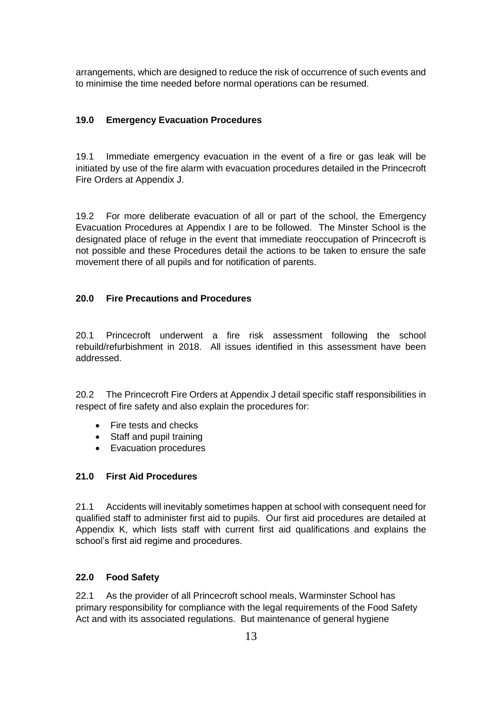arrangements, which are designed to reduce the risk of occurrence of such events and to minimise the time needed before normal operations can be resumed.

#### **19.0 Emergency Evacuation Procedures**

19.1 Immediate emergency evacuation in the event of a fire or gas leak will be initiated by use of the fire alarm with evacuation procedures detailed in the Princecroft Fire Orders at Appendix J.

19.2 For more deliberate evacuation of all or part of the school, the Emergency Evacuation Procedures at Appendix I are to be followed. The Minster School is the designated place of refuge in the event that immediate reoccupation of Princecroft is not possible and these Procedures detail the actions to be taken to ensure the safe movement there of all pupils and for notification of parents.

#### **20.0 Fire Precautions and Procedures**

20.1 Princecroft underwent a fire risk assessment following the school rebuild/refurbishment in 2018. All issues identified in this assessment have been addressed.

20.2 The Princecroft Fire Orders at Appendix J detail specific staff responsibilities in respect of fire safety and also explain the procedures for:

- Fire tests and checks
- Staff and pupil training
- Evacuation procedures

## <span id="page-14-0"></span>**21.0 First Aid Procedures**

21.1 Accidents will inevitably sometimes happen at school with consequent need for qualified staff to administer first aid to pupils. Our first aid procedures are detailed at Appendix K, which lists staff with current first aid qualifications and explains the school's first aid regime and procedures.

#### <span id="page-14-1"></span>**22.0 Food Safety**

22.1 As the provider of all Princecroft school meals, Warminster School has primary responsibility for compliance with the legal requirements of the Food Safety Act and with its associated regulations. But maintenance of general hygiene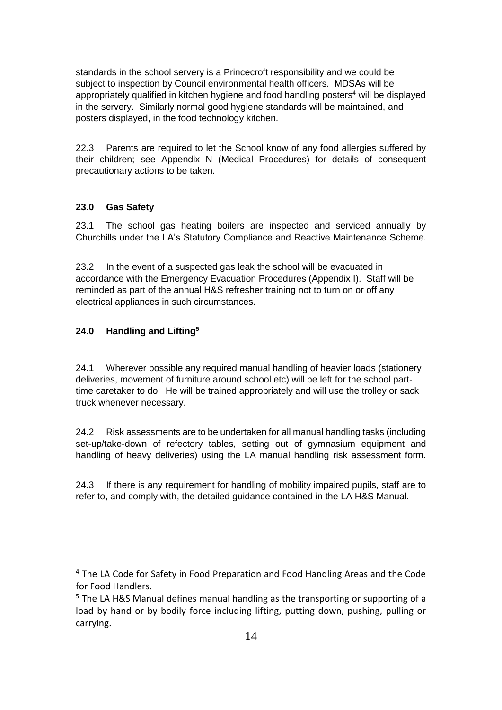standards in the school servery is a Princecroft responsibility and we could be subject to inspection by Council environmental health officers. MDSAs will be appropriately qualified in kitchen hygiene and food handling posters<sup>4</sup> will be displayed in the servery. Similarly normal good hygiene standards will be maintained, and posters displayed, in the food technology kitchen.

22.3 Parents are required to let the School know of any food allergies suffered by their children; see Appendix N (Medical Procedures) for details of consequent precautionary actions to be taken.

## <span id="page-15-1"></span><span id="page-15-0"></span>**23.0 Gas Safety**

23.1 The school gas heating boilers are inspected and serviced annually by Churchills under the LA's Statutory Compliance and Reactive Maintenance Scheme.

23.2 In the event of a suspected gas leak the school will be evacuated in accordance with the Emergency Evacuation Procedures (Appendix I). Staff will be reminded as part of the annual H&S refresher training not to turn on or off any electrical appliances in such circumstances.

## **24.0 Handling and Lifting<sup>5</sup>**

 $\overline{a}$ 

24.1 Wherever possible any required manual handling of heavier loads (stationery deliveries, movement of furniture around school etc) will be left for the school parttime caretaker to do. He will be trained appropriately and will use the trolley or sack truck whenever necessary.

24.2 Risk assessments are to be undertaken for all manual handling tasks (including set-up/take-down of refectory tables, setting out of gymnasium equipment and handling of heavy deliveries) using the LA manual handling risk assessment form.

<span id="page-15-2"></span>24.3 If there is any requirement for handling of mobility impaired pupils, staff are to refer to, and comply with, the detailed guidance contained in the LA H&S Manual.

<sup>&</sup>lt;sup>4</sup> The LA Code for Safety in Food Preparation and Food Handling Areas and the Code for Food Handlers.

<sup>5</sup> The LA H&S Manual defines manual handling as the transporting or supporting of a load by hand or by bodily force including lifting, putting down, pushing, pulling or carrying.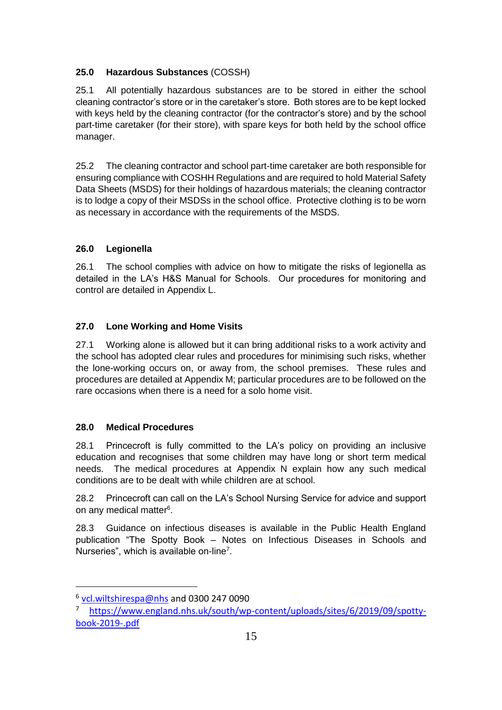## **25.0 Hazardous Substances** (COSSH)

25.1 All potentially hazardous substances are to be stored in either the school cleaning contractor's store or in the caretaker's store. Both stores are to be kept locked with keys held by the cleaning contractor (for the contractor's store) and by the school part-time caretaker (for their store), with spare keys for both held by the school office manager.

25.2 The cleaning contractor and school part-time caretaker are both responsible for ensuring compliance with COSHH Regulations and are required to hold Material Safety Data Sheets (MSDS) for their holdings of hazardous materials; the cleaning contractor is to lodge a copy of their MSDSs in the school office. Protective clothing is to be worn as necessary in accordance with the requirements of the MSDS.

## <span id="page-16-0"></span>**26.0 Legionella**

26.1 The school complies with advice on how to mitigate the risks of legionella as detailed in the LA's H&S Manual for Schools. Our procedures for monitoring and control are detailed in Appendix L.

## <span id="page-16-1"></span>**27.0 Lone Working and Home Visits**

27.1 Working alone is allowed but it can bring additional risks to a work activity and the school has adopted clear rules and procedures for minimising such risks, whether the lone-working occurs on, or away from, the school premises. These rules and procedures are detailed at Appendix M; particular procedures are to be followed on the rare occasions when there is a need for a solo home visit.

## <span id="page-16-2"></span>**28.0 Medical Procedures**

28.1 Princecroft is fully committed to the LA's policy on providing an inclusive education and recognises that some children may have long or short term medical needs. The medical procedures at Appendix N explain how any such medical conditions are to be dealt with while children are at school.

28.2 Princecroft can call on the LA's School Nursing Service for advice and support on any medical matter<sup>6</sup>.

28.3 Guidance on infectious diseases is available in the Public Health England publication "The Spotty Book – Notes on Infectious Diseases in Schools and Nurseries", which is available on-line<sup>7</sup>.

l

<sup>&</sup>lt;sup>6</sup> [vcl.wiltshirespa@nhs](mailto:vcl.wiltshirespa@nhs) and 0300 247 0090

[https://www.england.nhs.uk/south/wp-content/uploads/sites/6/2019/09/spotty](https://www.england.nhs.uk/south/wp-content/uploads/sites/6/2019/09/spotty-book-2019-.pdf)[book-2019-.pdf](https://www.england.nhs.uk/south/wp-content/uploads/sites/6/2019/09/spotty-book-2019-.pdf)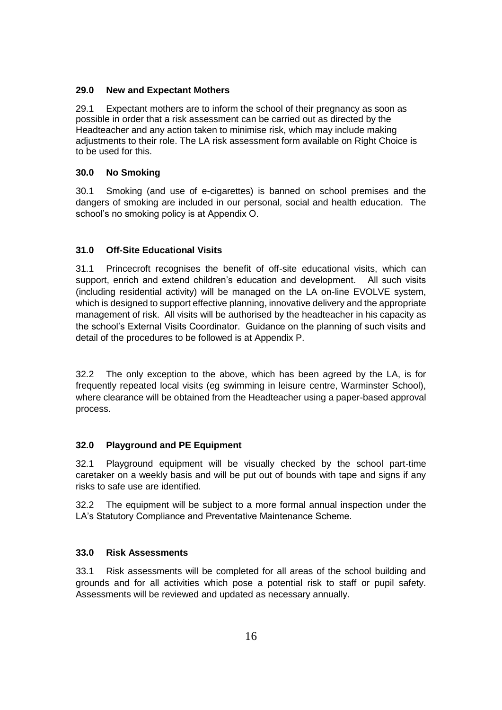## <span id="page-17-1"></span><span id="page-17-0"></span>**29.0 New and Expectant Mothers**

29.1 Expectant mothers are to inform the school of their pregnancy as soon as possible in order that a risk assessment can be carried out as directed by the Headteacher and any action taken to minimise risk, which may include making adjustments to their role. The LA risk assessment form available on Right Choice is to be used for this.

## **30.0 No Smoking**

30.1 Smoking (and use of e-cigarettes) is banned on school premises and the dangers of smoking are included in our personal, social and health education. The school's no smoking policy is at Appendix O.

## <span id="page-17-2"></span>**31.0 Off-Site Educational Visits**

31.1 Princecroft recognises the benefit of off-site educational visits, which can support, enrich and extend children's education and development. All such visits (including residential activity) will be managed on the LA on-line EVOLVE system, which is designed to support effective planning, innovative delivery and the appropriate management of risk. All visits will be authorised by the headteacher in his capacity as the school's External Visits Coordinator. Guidance on the planning of such visits and detail of the procedures to be followed is at Appendix P.

32.2 The only exception to the above, which has been agreed by the LA, is for frequently repeated local visits (eg swimming in leisure centre, Warminster School), where clearance will be obtained from the Headteacher using a paper-based approval process.

## <span id="page-17-3"></span>**32.0 Playground and PE Equipment**

32.1 Playground equipment will be visually checked by the school part-time caretaker on a weekly basis and will be put out of bounds with tape and signs if any risks to safe use are identified.

32.2 The equipment will be subject to a more formal annual inspection under the LA's Statutory Compliance and Preventative Maintenance Scheme.

## <span id="page-17-4"></span>**33.0 Risk Assessments**

33.1 Risk assessments will be completed for all areas of the school building and grounds and for all activities which pose a potential risk to staff or pupil safety. Assessments will be reviewed and updated as necessary annually.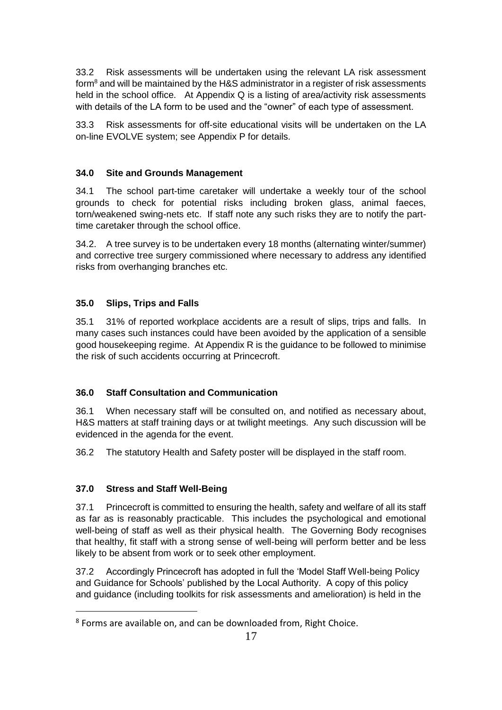33.2 Risk assessments will be undertaken using the relevant LA risk assessment form $8$  and will be maintained by the H&S administrator in a register of risk assessments held in the school office. At Appendix Q is a listing of area/activity risk assessments with details of the LA form to be used and the "owner" of each type of assessment.

33.3 Risk assessments for off-site educational visits will be undertaken on the LA on-line EVOLVE system; see Appendix P for details.

## <span id="page-18-0"></span>**34.0 Site and Grounds Management**

34.1 The school part-time caretaker will undertake a weekly tour of the school grounds to check for potential risks including broken glass, animal faeces, torn/weakened swing-nets etc. If staff note any such risks they are to notify the parttime caretaker through the school office.

34.2. A tree survey is to be undertaken every 18 months (alternating winter/summer) and corrective tree surgery commissioned where necessary to address any identified risks from overhanging branches etc.

## <span id="page-18-1"></span>**35.0 Slips, Trips and Falls**

35.1 31% of reported workplace accidents are a result of slips, trips and falls. In many cases such instances could have been avoided by the application of a sensible good housekeeping regime. At Appendix R is the guidance to be followed to minimise the risk of such accidents occurring at Princecroft.

## <span id="page-18-2"></span>**36.0 Staff Consultation and Communication**

36.1 When necessary staff will be consulted on, and notified as necessary about, H&S matters at staff training days or at twilight meetings. Any such discussion will be evidenced in the agenda for the event.

36.2 The statutory Health and Safety poster will be displayed in the staff room.

## <span id="page-18-3"></span>**37.0 Stress and Staff Well-Being**

l

37.1 Princecroft is committed to ensuring the health, safety and welfare of all its staff as far as is reasonably practicable. This includes the psychological and emotional well-being of staff as well as their physical health. The Governing Body recognises that healthy, fit staff with a strong sense of well-being will perform better and be less likely to be absent from work or to seek other employment.

37.2 Accordingly Princecroft has adopted in full the 'Model Staff Well-being Policy and Guidance for Schools' published by the Local Authority. A copy of this policy and guidance (including toolkits for risk assessments and amelioration) is held in the

<sup>8</sup> Forms are available on, and can be downloaded from, Right Choice.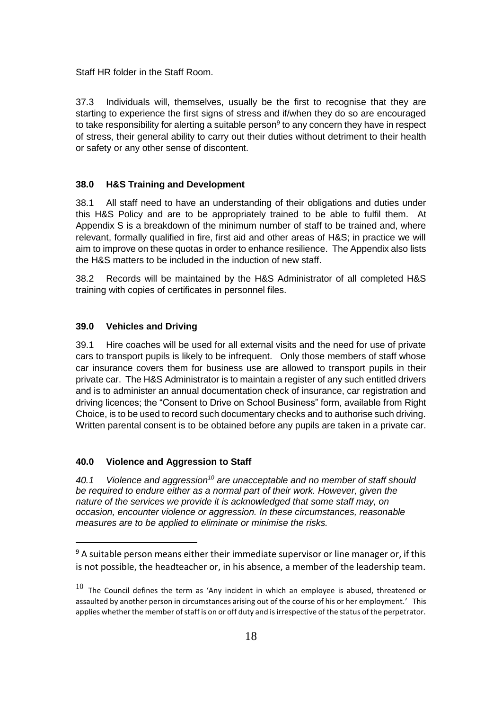Staff HR folder in the Staff Room.

37.3 Individuals will, themselves, usually be the first to recognise that they are starting to experience the first signs of stress and if/when they do so are encouraged to take responsibility for alerting a suitable person<sup>9</sup> to any concern they have in respect of stress, their general ability to carry out their duties without detriment to their health or safety or any other sense of discontent.

#### <span id="page-19-0"></span>**38.0 H&S Training and Development**

38.1 All staff need to have an understanding of their obligations and duties under this H&S Policy and are to be appropriately trained to be able to fulfil them. At Appendix S is a breakdown of the minimum number of staff to be trained and, where relevant, formally qualified in fire, first aid and other areas of H&S; in practice we will aim to improve on these quotas in order to enhance resilience. The Appendix also lists the H&S matters to be included in the induction of new staff.

38.2 Records will be maintained by the H&S Administrator of all completed H&S training with copies of certificates in personnel files.

#### <span id="page-19-1"></span>**39.0 Vehicles and Driving**

39.1 Hire coaches will be used for all external visits and the need for use of private cars to transport pupils is likely to be infrequent. Only those members of staff whose car insurance covers them for business use are allowed to transport pupils in their private car. The H&S Administrator is to maintain a register of any such entitled drivers and is to administer an annual documentation check of insurance, car registration and driving licences; the "Consent to Drive on School Business" form, available from Right Choice, is to be used to record such documentary checks and to authorise such driving. Written parental consent is to be obtained before any pupils are taken in a private car.

#### <span id="page-19-2"></span>**40.0 Violence and Aggression to Staff**

 $\overline{a}$ 

*40.1 Violence and aggression<sup>10</sup> are unacceptable and no member of staff should be required to endure either as a normal part of their work. However, given the nature of the services we provide it is acknowledged that some staff may, on occasion, encounter violence or aggression. In these circumstances, reasonable measures are to be applied to eliminate or minimise the risks.* 

 $9$  A suitable person means either their immediate supervisor or line manager or, if this is not possible, the headteacher or, in his absence, a member of the leadership team.

 $10$  The Council defines the term as 'Any incident in which an employee is abused, threatened or assaulted by another person in circumstances arising out of the course of his or her employment.' This applies whether the member of staff is on or off duty and is irrespective of the status of the perpetrator.